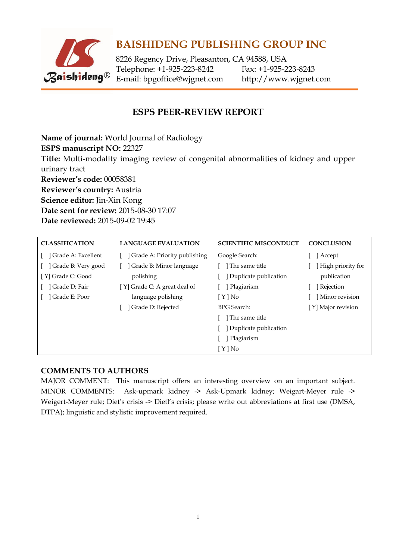

# **BAISHIDENG PUBLISHING GROUP INC**

8226 Regency Drive, Pleasanton, CA 94588, USA Telephone: +1-925-223-8242 Fax: +1-925-223-8243 E-mail: [bpgoffice@wjgnet.com](mailto:bpgoffice@wjgnet.com) http://www.wjgnet.com

## **ESPS PEER-REVIEW REPORT**

**Name of journal:** World Journal of Radiology **ESPS manuscript NO:** 22327 **Title:** Multi-modality imaging review of congenital abnormalities of kidney and upper urinary tract **Reviewer's code:** 00058381 **Reviewer's country:** Austria **Science editor:** Jin-Xin Kong **Date sent for review:** 2015-08-30 17:07 **Date reviewed:** 2015-09-02 19:45

| <b>CLASSIFICATION</b> | <b>LANGUAGE EVALUATION</b>   | <b>SCIENTIFIC MISCONDUCT</b> | <b>CONCLUSION</b>  |
|-----------------------|------------------------------|------------------------------|--------------------|
| Grade A: Excellent    | Grade A: Priority publishing | Google Search:               | ] Accept           |
| Grade B: Very good    | Grade B: Minor language      | The same title               | High priority for  |
| [Y] Grade C: Good     | polishing                    | Duplicate publication        | publication        |
| Grade D: Fair         | [Y] Grade C: A great deal of | Plagiarism                   | ] Rejection        |
| Grade E: Poor         | language polishing           | $[Y]$ No                     | Minor revision     |
|                       | Grade D: Rejected            | <b>BPG</b> Search:           | [Y] Major revision |
|                       |                              | The same title               |                    |
|                       |                              | Duplicate publication        |                    |
|                       |                              | Plagiarism                   |                    |
|                       |                              | $[ Y ]$ No                   |                    |

### **COMMENTS TO AUTHORS**

MAJOR COMMENT: This manuscript offers an interesting overview on an important subject. MINOR COMMENTS: Ask-upmark kidney -> Ask-Upmark kidney; Weigart-Meyer rule -> Weigert-Meyer rule; Diet's crisis -> Dietl's crisis; please write out abbreviations at first use (DMSA, DTPA); linguistic and stylistic improvement required.